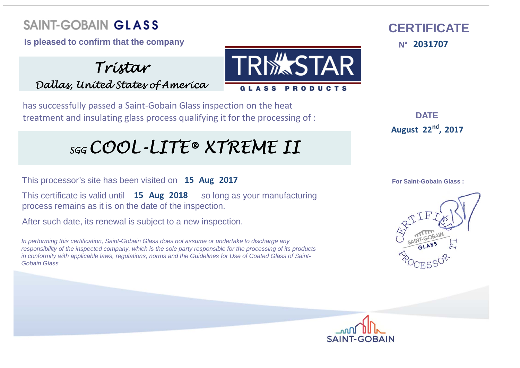**Is pleased to confirm that the company** 

*Tristar Dallas, United States of America*

has successfully passed <sup>a</sup> Saint‐Gobain Glass inspection on the heat treatment and insulating glass process qualifying it for the processing of :

# *SGG COOL-LITE® XTREME II*

This processor's site has been visited on **15 Aug 2017**

**This certificate is valid until 15 Aug 2018** so long as your manufacturing process remains as it is on the date of the inspection.

After such date, its renewal is subject to a new inspection.

*In performing this certification, Saint-Gobain Glass does not assume or undertake to discharge any responsibility of the inspected company, which is the sole party responsible for the processing of its products in conformity with applicable laws, regulations, norms and the Guidelines for Use of Coated Glass of Saint-Gobain Glass*





**DATE :22 August <sup>2017</sup> nd,**



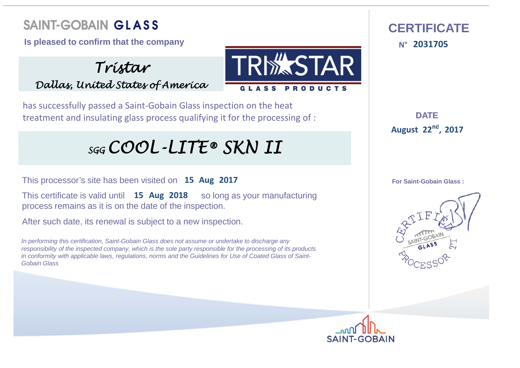**Is pleased to confirm that the company** 

*Tristar Dallas, United States of America*

has successfully passed <sup>a</sup> Saint‐Gobain Glass inspection on the heat treatment and insulating glass process qualifying it for the processing of :

# *SGG COOL-LITE® SKN II*

This processor's site has been visited on **15 Aug 2017**

**This certificate is valid until 15 Aug 2018** so long as your manufacturing process remains as it is on the date of the inspection.

After such date, its renewal is subject to a new inspection.

*In performing this certification, Saint-Gobain Glass does not assume or undertake to discharge any responsibility of the inspected company, which is the sole party responsible for the processing of its products in conformity with applicable laws, regulations, norms and the Guidelines for Use of Coated Glass of Saint-Gobain Glass*



 **CERTIFICATEN°**

**DATE :22 August <sup>2017</sup> nd,**



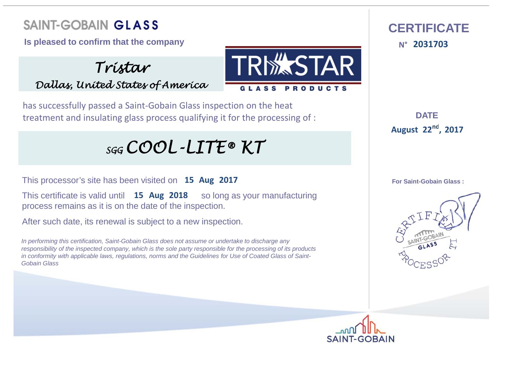**Is pleased to confirm that the company** 

*Tristar Dallas, United States of America*

has successfully passed <sup>a</sup> Saint‐Gobain Glass inspection on the heat treatment and insulating glass process qualifying it for the processing of :

*SGG COOL-LITE® KT*

This processor's site has been visited on **15 Aug 2017**

**This certificate is valid until 15 Aug 2018** so long as your manufacturing process remains as it is on the date of the inspection.

After such date, its renewal is subject to a new inspection.

*In performing this certification, Saint-Gobain Glass does not assume or undertake to discharge any responsibility of the inspected company, which is the sole party responsible for the processing of its products in conformity with applicable laws, regulations, norms and the Guidelines for Use of Coated Glass of Saint-Gobain Glass*





**DATE :22 August <sup>2017</sup> nd,**



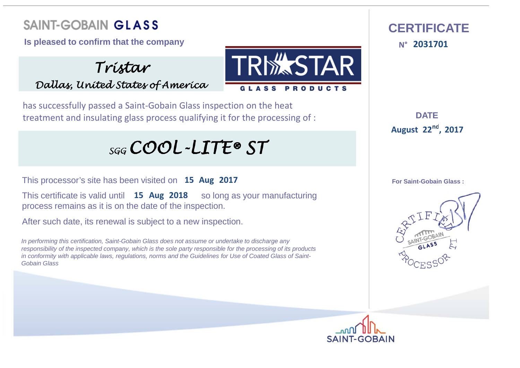**Is pleased to confirm that the company** 

*Tristar Dallas, United States of America*

has successfully passed <sup>a</sup> Saint‐Gobain Glass inspection on the heat treatment and insulating glass process qualifying it for the processing of :

 $_{SGG}$ COOL-LITE® ST

This processor's site has been visited on **15 Aug 2017**

**This certificate is valid until 15 Aug 2018** so long as your manufacturing process remains as it is on the date of the inspection.

After such date, its renewal is subject to a new inspection.

*In performing this certification, Saint-Gobain Glass does not assume or undertake to discharge any responsibility of the inspected company, which is the sole party responsible for the processing of its products in conformity with applicable laws, regulations, norms and the Guidelines for Use of Coated Glass of Saint-Gobain Glass*





**DATE :22 August <sup>2017</sup> nd,**